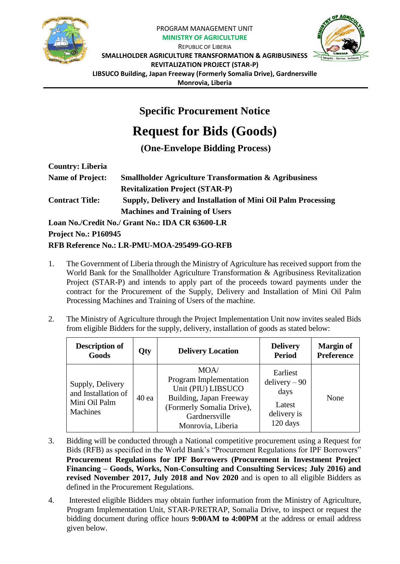

## PROGRAM MANAGEMENT UNIT **MINISTRY OF AGRICULTURE**



REPUBLIC OF LIBERIA **SMALLHOLDER AGRICULTURE TRANSFORMATION & AGRIBUSINESS REVITALIZATION PROJECT (STAR-P) LIBSUCO Building, Japan Freeway (Formerly Somalia Drive), Gardnersville Monrovia, Liberia**

## **Specific Procurement Notice**

## **Request for Bids (Goods)**

**(One-Envelope Bidding Process)**

| <b>Country: Liberia</b>     |                                                                  |
|-----------------------------|------------------------------------------------------------------|
| <b>Name of Project:</b>     | <b>Smallholder Agriculture Transformation &amp; Agribusiness</b> |
|                             | <b>Revitalization Project (STAR-P)</b>                           |
| <b>Contract Title:</b>      | Supply, Delivery and Installation of Mini Oil Palm Processing    |
|                             | <b>Machines and Training of Users</b>                            |
|                             | Loan No./Credit No./ Grant No.: IDA CR 63600-LR                  |
| <b>Project No.: P160945</b> |                                                                  |

## **RFB Reference No.: LR-PMU-MOA-295499-GO-RFB**

- 1. The Government of Liberia through the Ministry of Agriculture has received support from the World Bank for the Smallholder Agriculture Transformation & Agribusiness Revitalization Project (STAR-P) and intends to apply part of the proceeds toward payments under the contract for the Procurement of the Supply, Delivery and Installation of Mini Oil Palm Processing Machines and Training of Users of the machine.
- 2. The Ministry of Agriculture through the Project Implementation Unit now invites sealed Bids from eligible Bidders for the supply, delivery, installation of goods as stated below:

| <b>Description of</b><br>Goods                                              | Qty  | <b>Delivery Location</b>                                                                                                                           | <b>Delivery</b><br><b>Period</b>                                         | <b>Margin of</b><br><b>Preference</b> |
|-----------------------------------------------------------------------------|------|----------------------------------------------------------------------------------------------------------------------------------------------------|--------------------------------------------------------------------------|---------------------------------------|
| Supply, Delivery<br>and Installation of<br>Mini Oil Palm<br><b>Machines</b> | 40ea | MOA/<br>Program Implementation<br>Unit (PIU) LIBSUCO<br>Building, Japan Freeway<br>(Formerly Somalia Drive),<br>Gardnersville<br>Monrovia, Liberia | Earliest<br>$delivery - 90$<br>days<br>Latest<br>delivery is<br>120 days | None                                  |

- 3. Bidding will be conducted through a National competitive procurement using a Request for Bids (RFB) as specified in the World Bank's "Procurement Regulations for IPF Borrowers" **Procurement Regulations for IPF Borrowers (Procurement in Investment Project Financing – Goods, Works, Non-Consulting and Consulting Services; July 2016) and revised November 2017, July 2018 and Nov 2020** and is open to all eligible Bidders as defined in the Procurement Regulations.
- 4. Interested eligible Bidders may obtain further information from the Ministry of Agriculture, Program Implementation Unit, STAR-P/RETRAP, Somalia Drive, to inspect or request the bidding document during office hours **9:00AM to 4:00PM** at the address or email address given below.